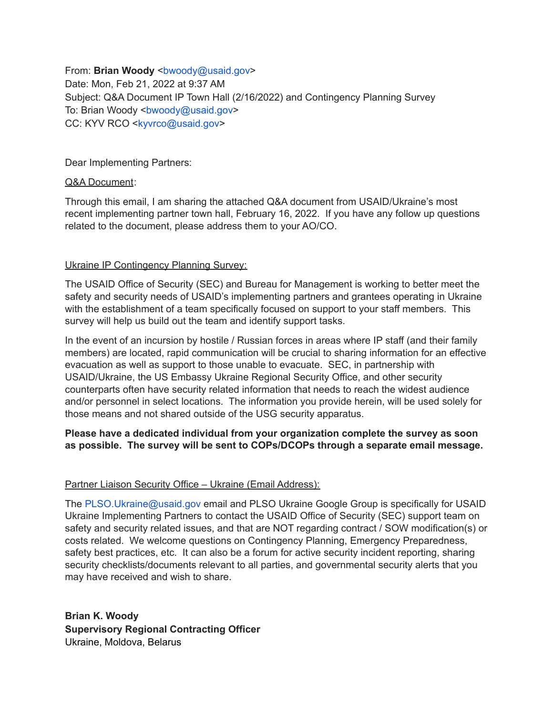From: **Brian Woody** <br/>bwoody@usaid.gov> Date: Mon, Feb 21, 2022 at 9:37 AM Subject: Q&A Document IP Town Hall (2/16/2022) and Contingency Planning Survey To: Brian Woody <br/>bwoody@usaid.gov> CC: KYV RCO <kyvrco@usaid.gov>

Dear Implementing Partners:

## Q&A Document:

Through this email, I am sharing the attached Q&A document from USAID/Ukraine's most recent implementing partner town hall, February 16, 2022. If you have any follow up questions related to the document, please address them to your AO/CO.

## Ukraine IP Contingency Planning Survey:

The USAID Office of Security (SEC) and Bureau for Management is working to better meet the safety and security needs of USAID's implementing partners and grantees operating in Ukraine with the establishment of a team specifically focused on support to your staff members. This survey will help us build out the team and identify support tasks.

In the event of an incursion by hostile / Russian forces in areas where IP staff (and their family members) are located, rapid communication will be crucial to sharing information for an effective evacuation as well as support to those unable to evacuate. SEC, in partnership with USAID/Ukraine, the US Embassy Ukraine Regional Security Office, and other security counterparts often have security related information that needs to reach the widest audience and/or personnel in select locations. The information you provide herein, will be used solely for those means and not shared outside of the USG security apparatus.

## **Please have a dedicated individual from your organization complete the survey as soon as possible. The survey will be sent to COPs/DCOPs through a separate email message.**

## Partner Liaison Security Office – Ukraine (Email Address):

The PLSO.Ukraine@usaid.gov email and PLSO Ukraine Google Group is specifically for USAID Ukraine Implementing Partners to contact the USAID Office of Security (SEC) support team on safety and security related issues, and that are NOT regarding contract / SOW modification(s) or costs related. We welcome questions on Contingency Planning, Emergency Preparedness, safety best practices, etc. It can also be a forum for active security incident reporting, sharing security checklists/documents relevant to all parties, and governmental security alerts that you may have received and wish to share.

**Brian K. Woody Supervisory Regional Contracting Officer** Ukraine, Moldova, Belarus